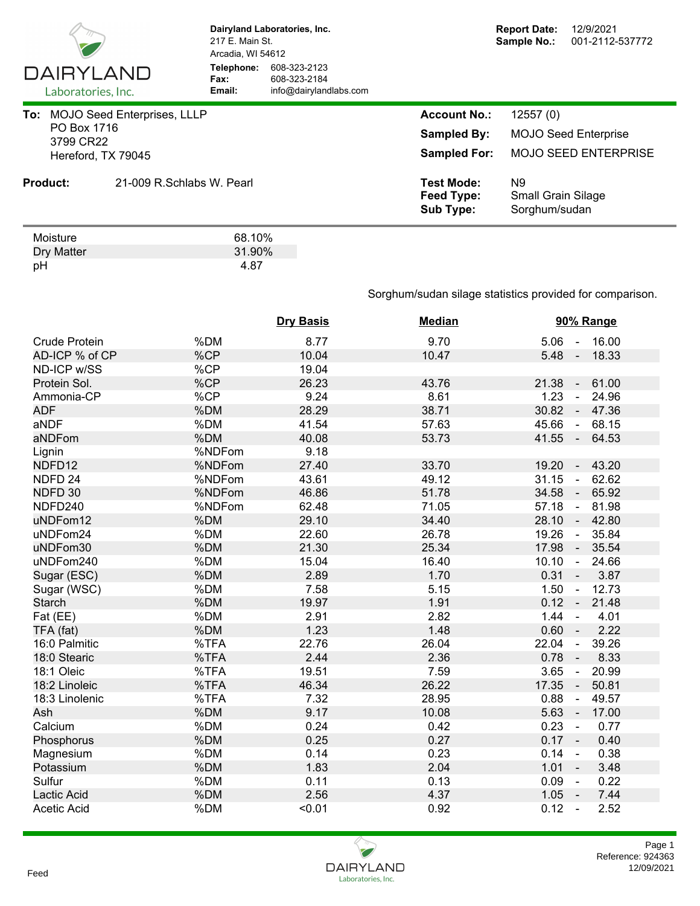

Dry Matter 31.90%<br>pH 31.90% pH 4.87

**Dairyland Laboratories, Inc.** 217 E. Main St. Arcadia, WI 54612 **Telephone:** 608-323-2123 **Fax:** 608-323-2184<br> **Email:** info@dairyland **Email:** info@dairylandlabs.com

|           | PO Box 1716     | To: MOJO Seed Enterprises, LLLP | <b>Account No.:</b>                                 | 12557(0)                                         |
|-----------|-----------------|---------------------------------|-----------------------------------------------------|--------------------------------------------------|
| 3799 CR22 |                 |                                 | <b>Sampled By:</b>                                  | <b>MOJO Seed Enterprise</b>                      |
|           |                 | Hereford, TX 79045              | <b>Sampled For:</b>                                 | <b>MOJO SEED ENTERPRISE</b>                      |
|           | <b>Product:</b> | 21-009 R.Schlabs W. Pearl       | <b>Test Mode:</b><br>Feed Type:<br><b>Sub Type:</b> | N9<br><b>Small Grain Silage</b><br>Sorghum/sudan |
|           | Moisture        | 68.10%                          |                                                     |                                                  |

Sorghum/sudan silage statistics provided for comparison.

|                      |        | <b>Dry Basis</b> | <b>Median</b> | 90% Range                                  |
|----------------------|--------|------------------|---------------|--------------------------------------------|
| <b>Crude Protein</b> | %DM    | 8.77             | 9.70          | $5.06 - 16.00$                             |
| AD-ICP % of CP       | %CP    | 10.04            | 10.47         | 5.48<br>18.33<br>$\sim$                    |
| ND-ICP w/SS          | %CP    | 19.04            |               |                                            |
| Protein Sol.         | %CP    | 26.23            | 43.76         | 21.38<br>61.00<br>$\sim$                   |
| Ammonia-CP           | %CP    | 9.24             | 8.61          | 1.23<br>24.96<br>$\omega$                  |
| <b>ADF</b>           | %DM    | 28.29            | 38.71         | 30.82<br>47.36<br>$\sim$                   |
| aNDF                 | %DM    | 41.54            | 57.63         | 45.66<br>68.15<br>$\sim$                   |
| aNDFom               | %DM    | 40.08            | 53.73         | $41.55 -$<br>64.53                         |
| Lignin               | %NDFom | 9.18             |               |                                            |
| NDFD12               | %NDFom | 27.40            | 33.70         | 19.20<br>43.20<br>$\blacksquare$           |
| NDFD <sub>24</sub>   | %NDFom | 43.61            | 49.12         | 31.15<br>62.62<br>$\sim$                   |
| NDFD 30              | %NDFom | 46.86            | 51.78         | 34.58<br>65.92<br>$\overline{\phantom{a}}$ |
| NDFD240              | %NDFom | 62.48            | 71.05         | 57.18<br>81.98<br>$\blacksquare$           |
| uNDFom12             | %DM    | 29.10            | 34.40         | 28.10<br>42.80<br>$\sim$                   |
| uNDFom24             | %DM    | 22.60            | 26.78         | 19.26<br>35.84<br>$\sim$                   |
| uNDFom30             | %DM    | 21.30            | 25.34         | 17.98<br>35.54<br>$\sim$                   |
| uNDFom240            | %DM    | 15.04            | 16.40         | 10.10<br>24.66<br>$\sim$                   |
| Sugar (ESC)          | %DM    | 2.89             | 1.70          | $0.31 -$<br>3.87                           |
| Sugar (WSC)          | %DM    | 7.58             | 5.15          | 12.73<br>1.50<br>$\blacksquare$            |
| <b>Starch</b>        | %DM    | 19.97            | 1.91          | $0.12 -$<br>21.48                          |
| Fat (EE)             | %DM    | 2.91             | 2.82          | 1.44<br>4.01<br>$\blacksquare$             |
| TFA (fat)            | %DM    | 1.23             | 1.48          | 0.60<br>2.22                               |
| 16:0 Palmitic        | %TFA   | 22.76            | 26.04         | 22.04<br>39.26<br>$\blacksquare$           |
| 18:0 Stearic         | %TFA   | 2.44             | 2.36          | 8.33<br>0.78<br>$\blacksquare$             |
| 18:1 Oleic           | %TFA   | 19.51            | 7.59          | 3.65<br>20.99<br>$\sim$                    |
| 18:2 Linoleic        | %TFA   | 46.34            | 26.22         | 17.35<br>50.81<br>$\overline{\phantom{a}}$ |
| 18:3 Linolenic       | %TFA   | 7.32             | 28.95         | 0.88<br>49.57<br>$\blacksquare$            |
| Ash                  | %DM    | 9.17             | 10.08         | 5.63<br>17.00<br>$\sim$                    |
| Calcium              | %DM    | 0.24             | 0.42          | 0.23<br>0.77<br>$\sim$                     |
| Phosphorus           | %DM    | 0.25             | 0.27          | $0.17 -$<br>0.40                           |
| Magnesium            | %DM    | 0.14             | 0.23          | 0.38<br>0.14<br>$\sim$                     |
| Potassium            | %DM    | 1.83             | 2.04          | 1.01<br>3.48<br>$\sim$                     |
| Sulfur               | %DM    | 0.11             | 0.13          | 0.09<br>0.22<br>$\sim$                     |
| Lactic Acid          | %DM    | 2.56             | 4.37          | 1.05<br>7.44<br>$\sim$ $-$                 |
| <b>Acetic Acid</b>   | %DM    | < 0.01           | 0.92          | 0.12<br>2.52<br>$\sim$                     |